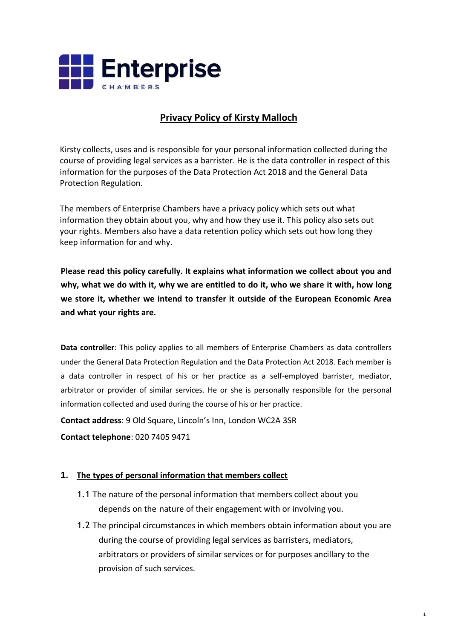

# **Privacy Policy of Kirsty Malloch**

Kirsty collects, uses and is responsible for your personal information collected during the course of providing legal services as a barrister. He is the data controller in respect of this information for the purposes of the Data Protection Act 2018 and the General Data Protection Regulation.

The members of Enterprise Chambers have a privacy policy which sets out what information they obtain about you, why and how they use it. This policy also sets out your rights. Members also have a data retention policy which sets out how long they keep information for and why.

**Please read this policy carefully. It explains what information we collect about you and why, what we do with it, why we are entitled to do it, who we share it with, how long we store it, whether we intend to transfer it outside of the European Economic Area and what your rights are.**

**Data controller**: This policy applies to all members of Enterprise Chambers as data controllers under the General Data Protection Regulation and the Data Protection Act 2018. Each member is a data controller in respect of his or her practice as a self-employed barrister, mediator, arbitrator or provider of similar services. He or she is personally responsible for the personal information collected and used during the course of his or her practice.

**Contact address**: 9 Old Square, Lincoln's Inn, London WC2A 3SR

**Contact telephone**: 020 7405 9471

## **1. The types of personal information that members collect**

- 1.1 The nature of the personal information that members collect about you depends on the nature of their engagement with or involving you.
- 1.2 The principal circumstances in which members obtain information about you are during the course of providing legal services as barristers, mediators, arbitrators or providers of similar services or for purposes ancillary to the provision of such services.

1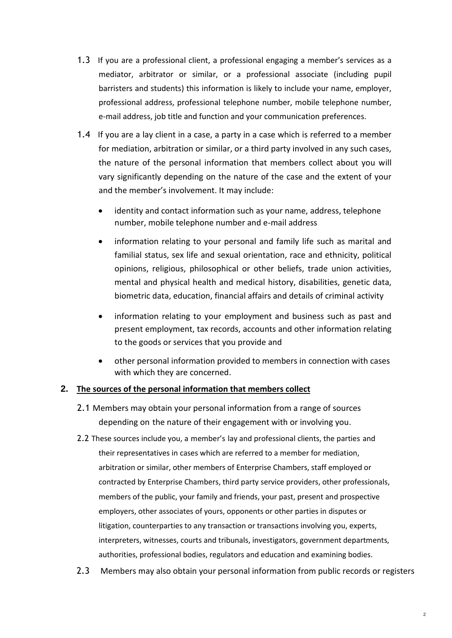- 1.3 If you are a professional client, a professional engaging a member's services as a mediator, arbitrator or similar, or a professional associate (including pupil barristers and students) this information is likely to include your name, employer, professional address, professional telephone number, mobile telephone number, e-mail address, job title and function and your communication preferences.
- 1.4 If you are a lay client in a case, a party in a case which is referred to a member for mediation, arbitration or similar, or a third party involved in any such cases, the nature of the personal information that members collect about you will vary significantly depending on the nature of the case and the extent of your and the member's involvement. It may include:
	- identity and contact information such as your name, address, telephone number, mobile telephone number and e-mail address
	- information relating to your personal and family life such as marital and familial status, sex life and sexual orientation, race and ethnicity, political opinions, religious, philosophical or other beliefs, trade union activities, mental and physical health and medical history, disabilities, genetic data, biometric data, education, financial affairs and details of criminal activity
	- information relating to your employment and business such as past and present employment, tax records, accounts and other information relating to the goods or services that you provide and
	- other personal information provided to members in connection with cases with which they are concerned.

## **2. The sources of the personal information that members collect**

- 2.1 Members may obtain your personal information from a range of sources depending on the nature of their engagement with or involving you.
- 2.2 These sources include you, a member's lay and professional clients, the parties and their representatives in cases which are referred to a member for mediation, arbitration or similar, other members of Enterprise Chambers, staff employed or contracted by Enterprise Chambers, third party service providers, other professionals, members of the public, your family and friends, your past, present and prospective employers, other associates of yours, opponents or other parties in disputes or litigation, counterparties to any transaction or transactions involving you, experts, interpreters, witnesses, courts and tribunals, investigators, government departments, authorities, professional bodies, regulators and education and examining bodies.
- 2.3 Members may also obtain your personal information from public records or registers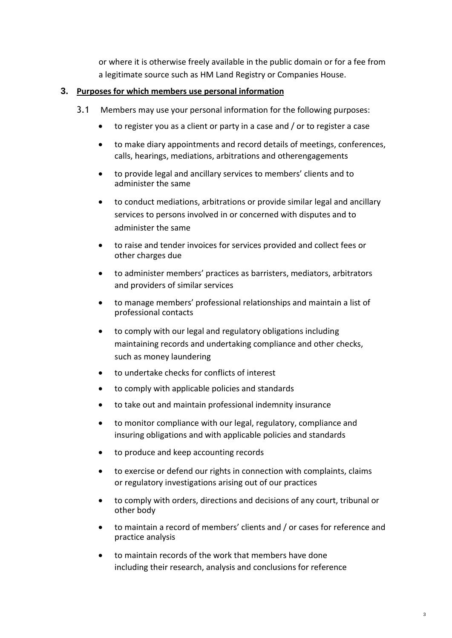or where it is otherwise freely available in the public domain or for a fee from a legitimate source such as HM Land Registry or Companies House.

## **3. Purposes for which members use personal information**

- 3.1 Members may use your personal information for the following purposes:
	- to register you as a client or party in a case and / or to register a case
	- to make diary appointments and record details of meetings, conferences, calls, hearings, mediations, arbitrations and otherengagements
	- to provide legal and ancillary services to members' clients and to administer the same
	- to conduct mediations, arbitrations or provide similar legal and ancillary services to persons involved in or concerned with disputes and to administer the same
	- to raise and tender invoices for services provided and collect fees or other charges due
	- to administer members' practices as barristers, mediators, arbitrators and providers of similar services
	- to manage members' professional relationships and maintain a list of professional contacts
	- to comply with our legal and regulatory obligations including maintaining records and undertaking compliance and other checks, such as money laundering
	- to undertake checks for conflicts of interest
	- to comply with applicable policies and standards
	- to take out and maintain professional indemnity insurance
	- to monitor compliance with our legal, regulatory, compliance and insuring obligations and with applicable policies and standards
	- to produce and keep accounting records
	- to exercise or defend our rights in connection with complaints, claims or regulatory investigations arising out of our practices
	- to comply with orders, directions and decisions of any court, tribunal or other body
	- to maintain a record of members' clients and / or cases for reference and practice analysis
	- to maintain records of the work that members have done including their research, analysis and conclusions for reference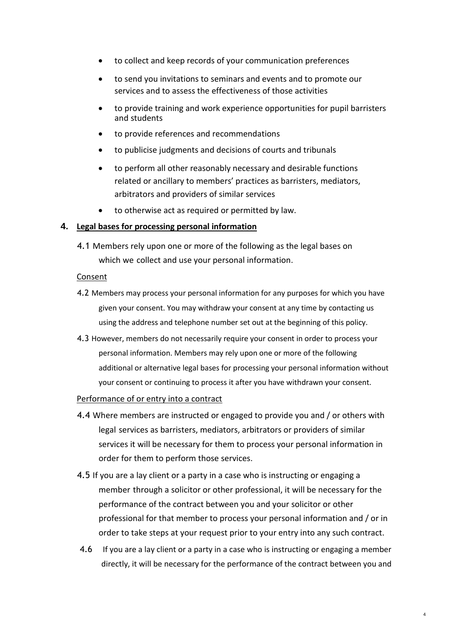- to collect and keep records of your communication preferences
- to send you invitations to seminars and events and to promote our services and to assess the effectiveness of those activities
- to provide training and work experience opportunities for pupil barristers and students
- to provide references and recommendations
- to publicise judgments and decisions of courts and tribunals
- to perform all other reasonably necessary and desirable functions related or ancillary to members' practices as barristers, mediators, arbitrators and providers of similar services
- to otherwise act as required or permitted by law.

#### **4. Legal bases for processing personal information**

4.1 Members rely upon one or more of the following as the legal bases on which we collect and use your personal information.

#### Consent

- 4.2 Members may process your personal information for any purposes for which you have given your consent. You may withdraw your consent at any time by contacting us using the address and telephone number set out at the beginning of this policy.
- 4.3 However, members do not necessarily require your consent in order to process your personal information. Members may rely upon one or more of the following additional or alternative legal bases for processing your personal information without your consent or continuing to process it after you have withdrawn your consent.

#### Performance of or entry into a contract

- 4.4 Where members are instructed or engaged to provide you and / or others with legal services as barristers, mediators, arbitrators or providers of similar services it will be necessary for them to process your personal information in order for them to perform those services.
- 4.5 If you are a lay client or a party in a case who is instructing or engaging a member through a solicitor or other professional, it will be necessary for the performance of the contract between you and your solicitor or other professional for that member to process your personal information and / or in order to take steps at your request prior to your entry into any such contract.
- 4.6 If you are a lay client or a party in a case who is instructing or engaging a member directly, it will be necessary for the performance of the contract between you and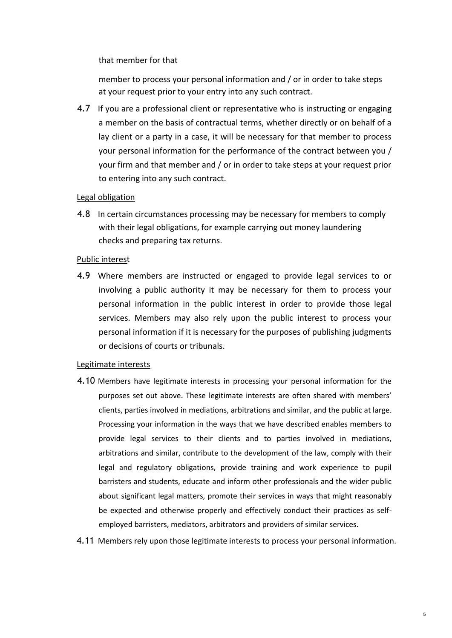that member for that

member to process your personal information and / or in order to take steps at your request prior to your entry into any such contract.

4.7 If you are a professional client or representative who is instructing or engaging a member on the basis of contractual terms, whether directly or on behalf of a lay client or a party in a case, it will be necessary for that member to process your personal information for the performance of the contract between you / your firm and that member and / or in order to take steps at your request prior to entering into any such contract.

#### Legal obligation

4.8 In certain circumstances processing may be necessary for members to comply with their legal obligations, for example carrying out money laundering checks and preparing tax returns.

#### Public interest

4.9 Where members are instructed or engaged to provide legal services to or involving a public authority it may be necessary for them to process your personal information in the public interest in order to provide those legal services. Members may also rely upon the public interest to process your personal information if it is necessary for the purposes of publishing judgments or decisions of courts or tribunals.

#### Legitimate interests

- 4.10 Members have legitimate interests in processing your personal information for the purposes set out above. These legitimate interests are often shared with members' clients, parties involved in mediations, arbitrations and similar, and the public at large. Processing your information in the ways that we have described enables members to provide legal services to their clients and to parties involved in mediations, arbitrations and similar, contribute to the development of the law, comply with their legal and regulatory obligations, provide training and work experience to pupil barristers and students, educate and inform other professionals and the wider public about significant legal matters, promote their services in ways that might reasonably be expected and otherwise properly and effectively conduct their practices as selfemployed barristers, mediators, arbitrators and providers of similar services.
- 4.11 Members rely upon those legitimate interests to process your personal information.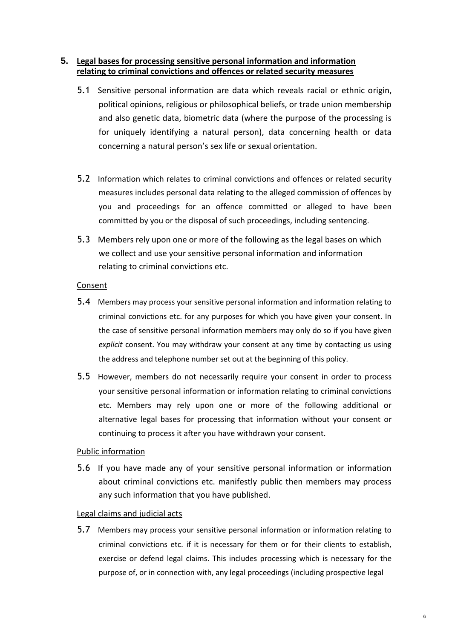### **5. Legal bases for processing sensitive personal information and information relating to criminal convictions and offences or related security measures**

- 5.1 Sensitive personal information are data which reveals racial or ethnic origin, political opinions, religious or philosophical beliefs, or trade union membership and also genetic data, biometric data (where the purpose of the processing is for uniquely identifying a natural person), data concerning health or data concerning a natural person's sex life or sexual orientation.
- 5.2 Information which relates to criminal convictions and offences or related security measures includes personal data relating to the alleged commission of offences by you and proceedings for an offence committed or alleged to have been committed by you or the disposal of such proceedings, including sentencing.
- 5.3 Members rely upon one or more of the following as the legal bases on which we collect and use your sensitive personal information and information relating to criminal convictions etc.

#### Consent

- 5.4 Members may process your sensitive personal information and information relating to criminal convictions etc. for any purposes for which you have given your consent. In the case of sensitive personal information members may only do so if you have given *explicit* consent. You may withdraw your consent at any time by contacting us using the address and telephone number set out at the beginning of this policy.
- 5.5 However, members do not necessarily require your consent in order to process your sensitive personal information or information relating to criminal convictions etc. Members may rely upon one or more of the following additional or alternative legal bases for processing that information without your consent or continuing to process it after you have withdrawn your consent.

## Public information

5.6 If you have made any of your sensitive personal information or information about criminal convictions etc. manifestly public then members may process any such information that you have published.

#### Legal claims and judicial acts

5.7 Members may process your sensitive personal information or information relating to criminal convictions etc. if it is necessary for them or for their clients to establish, exercise or defend legal claims. This includes processing which is necessary for the purpose of, or in connection with, any legal proceedings (including prospective legal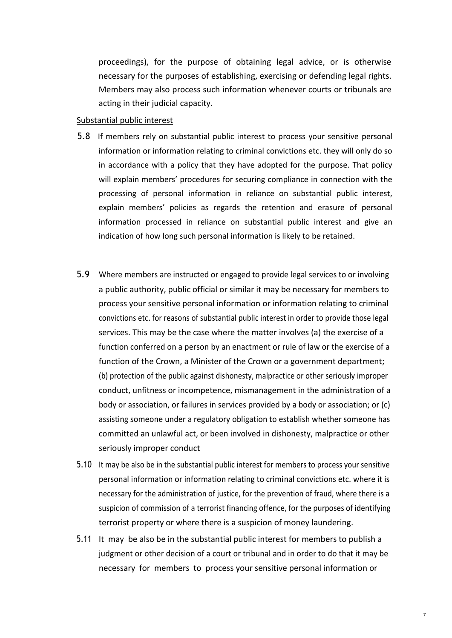proceedings), for the purpose of obtaining legal advice, or is otherwise necessary for the purposes of establishing, exercising or defending legal rights. Members may also process such information whenever courts or tribunals are acting in their judicial capacity.

#### Substantial public interest

- 5.8 If members rely on substantial public interest to process your sensitive personal information or information relating to criminal convictions etc. they will only do so in accordance with a policy that they have adopted for the purpose. That policy will explain members' procedures for securing compliance in connection with the processing of personal information in reliance on substantial public interest, explain members' policies as regards the retention and erasure of personal information processed in reliance on substantial public interest and give an indication of how long such personal information is likely to be retained.
- 5.9 Where members are instructed or engaged to provide legal services to or involving a public authority, public official or similar it may be necessary for members to process your sensitive personal information or information relating to criminal convictions etc. for reasons of substantial public interest in order to provide those legal services. This may be the case where the matter involves (a) the exercise of a function conferred on a person by an enactment or rule of law or the exercise of a function of the Crown, a Minister of the Crown or a government department; (b) protection of the public against dishonesty, malpractice or other seriously improper conduct, unfitness or incompetence, mismanagement in the administration of a body or association, or failures in services provided by a body or association; or (c) assisting someone under a regulatory obligation to establish whether someone has committed an unlawful act, or been involved in dishonesty, malpractice or other seriously improper conduct
- 5.10 It may be also be in the substantial public interest for members to process your sensitive personal information or information relating to criminal convictions etc. where it is necessary for the administration of justice, for the prevention of fraud, where there is a suspicion of commission of a terrorist financing offence, for the purposes of identifying terrorist property or where there is a suspicion of money laundering.
- 5.11 It may be also be in the substantial public interest for members to publish a judgment or other decision of a court or tribunal and in order to do that it may be necessary for members to process your sensitive personal information or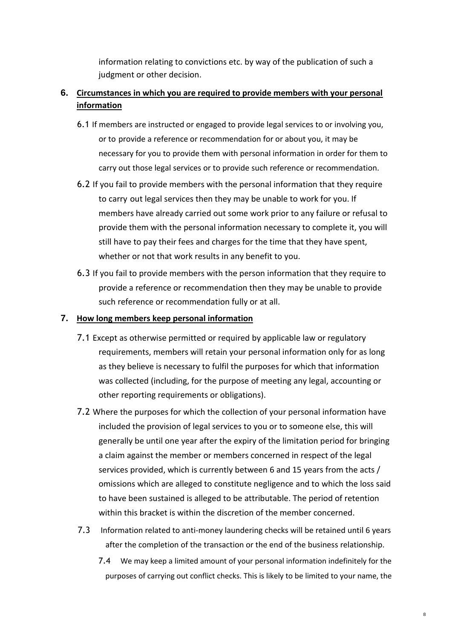information relating to convictions etc. by way of the publication of such a judgment or other decision.

# **6. Circumstances in which you are required to provide members with your personal information**

- 6.1 If members are instructed or engaged to provide legal services to or involving you, or to provide a reference or recommendation for or about you, it may be necessary for you to provide them with personal information in order for them to carry out those legal services or to provide such reference or recommendation.
- 6.2 If you fail to provide members with the personal information that they require to carry out legal services then they may be unable to work for you. If members have already carried out some work prior to any failure or refusal to provide them with the personal information necessary to complete it, you will still have to pay their fees and charges for the time that they have spent, whether or not that work results in any benefit to you.
- 6.3 If you fail to provide members with the person information that they require to provide a reference or recommendation then they may be unable to provide such reference or recommendation fully or at all.

### **7. How long members keep personal information**

- 7.1 Except as otherwise permitted or required by applicable law or regulatory requirements, members will retain your personal information only for as long as they believe is necessary to fulfil the purposes for which that information was collected (including, for the purpose of meeting any legal, accounting or other reporting requirements or obligations).
- 7.2 Where the purposes for which the collection of your personal information have included the provision of legal services to you or to someone else, this will generally be until one year after the expiry of the limitation period for bringing a claim against the member or members concerned in respect of the legal services provided, which is currently between 6 and 15 years from the acts / omissions which are alleged to constitute negligence and to which the loss said to have been sustained is alleged to be attributable. The period of retention within this bracket is within the discretion of the member concerned.
- 7.3 Information related to anti-money laundering checks will be retained until 6 years after the completion of the transaction or the end of the business relationship.
	- 7.4 We may keep a limited amount of your personal information indefinitely for the purposes of carrying out conflict checks. This is likely to be limited to your name, the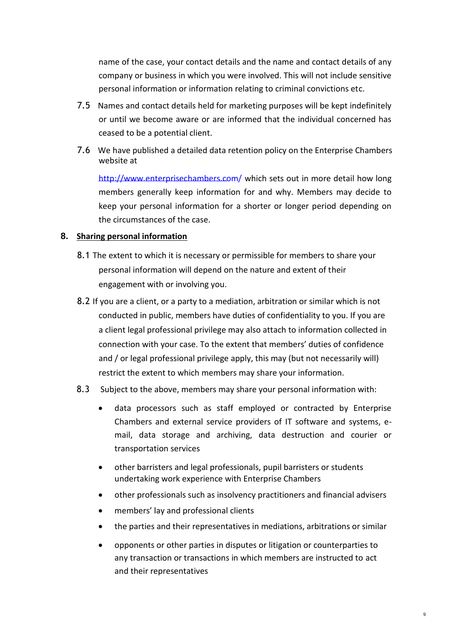name of the case, your contact details and the name and contact details of any company or business in which you were involved. This will not include sensitive personal information or information relating to criminal convictions etc.

- 7.5 Names and contact details held for marketing purposes will be kept indefinitely or until we become aware or are informed that the individual concerned has ceased to be a potential client.
- 7.6 We have published a detailed data retention policy on the Enterprise Chambers website at

[http://www.enterprisechambers.com/ w](http://www.enterprisechambers.com/)hich sets out in more detail how long members generally keep information for and why. Members may decide to keep your personal information for a shorter or longer period depending on the circumstances of the case.

### **8. Sharing personal information**

- 8.1 The extent to which it is necessary or permissible for members to share your personal information will depend on the nature and extent of their engagement with or involving you.
- 8.2 If you are a client, or a party to a mediation, arbitration or similar which is not conducted in public, members have duties of confidentiality to you. If you are a client legal professional privilege may also attach to information collected in connection with your case. To the extent that members' duties of confidence and / or legal professional privilege apply, this may (but not necessarily will) restrict the extent to which members may share your information.

## 8.3 Subject to the above, members may share your personal information with:

- data processors such as staff employed or contracted by Enterprise Chambers and external service providers of IT software and systems, email, data storage and archiving, data destruction and courier or transportation services
- other barristers and legal professionals, pupil barristers or students undertaking work experience with Enterprise Chambers
- other professionals such as insolvency practitioners and financial advisers
- members' lay and professional clients
- the parties and their representatives in mediations, arbitrations or similar
- opponents or other parties in disputes or litigation or counterparties to any transaction or transactions in which members are instructed to act and their representatives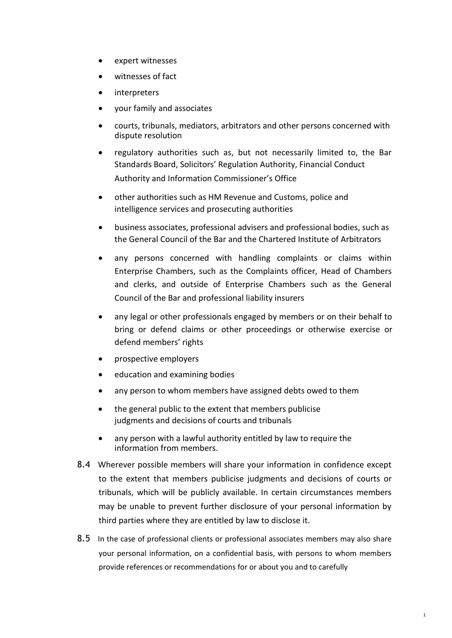- expert witnesses
- witnesses of fact
- interpreters
- your family and associates
- courts, tribunals, mediators, arbitrators and other persons concerned with dispute resolution
- regulatory authorities such as, but not necessarily limited to, the Bar Standards Board, Solicitors' Regulation Authority, Financial Conduct Authority and Information Commissioner's Office
- other authorities such as HM Revenue and Customs, police and intelligence services and prosecuting authorities
- business associates, professional advisers and professional bodies, such as the General Council of the Bar and the Chartered Institute of Arbitrators
- any persons concerned with handling complaints or claims within Enterprise Chambers, such as the Complaints officer, Head of Chambers and clerks, and outside of Enterprise Chambers such as the General Council of the Bar and professional liability insurers
- any legal or other professionals engaged by members or on their behalf to bring or defend claims or other proceedings or otherwise exercise or defend members' rights
- prospective employers
- education and examining bodies
- any person to whom members have assigned debts owed to them
- the general public to the extent that members publicise judgments and decisions of courts and tribunals
- any person with a lawful authority entitled by law to require the information from members.
- 8.4 Wherever possible members will share your information in confidence except to the extent that members publicise judgments and decisions of courts or tribunals, which will be publicly available. In certain circumstances members may be unable to prevent further disclosure of your personal information by third parties where they are entitled by law to disclose it.
- 8.5 In the case of professional clients or professional associates members may also share your personal information, on a confidential basis, with persons to whom members provide references or recommendations for or about you and to carefully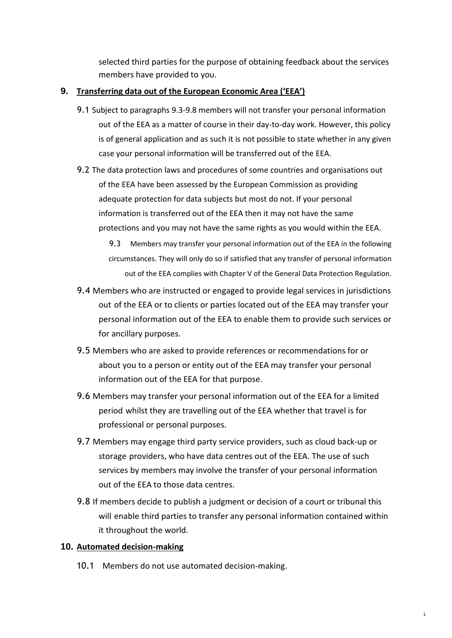selected third parties for the purpose of obtaining feedback about the services members have provided to you.

### **9. Transferring data out of the European Economic Area ('EEA')**

- 9.1 Subject to paragraphs 9.3-9.8 members will not transfer your personal information out of the EEA as a matter of course in their day-to-day work. However, this policy is of general application and as such it is not possible to state whether in any given case your personal information will be transferred out of the EEA.
- 9.2 The data protection laws and procedures of some countries and organisations out of the EEA have been assessed by the European Commission as providing adequate protection for data subjects but most do not. If your personal information is transferred out of the EEA then it may not have the same protections and you may not have the same rights as you would within the EEA.

9.3 Members may transfer your personal information out of the EEA in the following circumstances. They will only do so if satisfied that any transfer of personal information out of the EEA complies with Chapter V of the General Data Protection Regulation.

- 9.4 Members who are instructed or engaged to provide legal services in jurisdictions out of the EEA or to clients or parties located out of the EEA may transfer your personal information out of the EEA to enable them to provide such services or for ancillary purposes.
- 9.5 Members who are asked to provide references or recommendations for or about you to a person or entity out of the EEA may transfer your personal information out of the EEA for that purpose.
- 9.6 Members may transfer your personal information out of the EEA for a limited period whilst they are travelling out of the EEA whether that travel is for professional or personal purposes.
- 9.7 Members may engage third party service providers, such as cloud back-up or storage providers, who have data centres out of the EEA. The use of such services by members may involve the transfer of your personal information out of the EEA to those data centres.
- 9.8 If members decide to publish a judgment or decision of a court or tribunal this will enable third parties to transfer any personal information contained within it throughout the world.

1

#### **10. Automated decision-making**

10.1 Members do not use automated decision-making.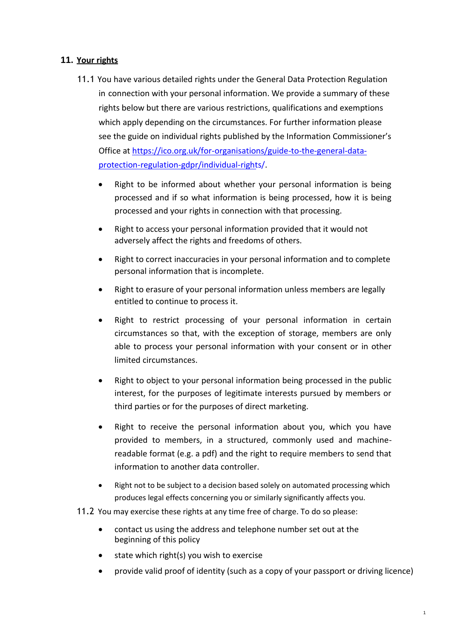## **11. Your rights**

- 11.1 You have various detailed rights under the General Data Protection Regulation in connection with your personal information. We provide a summary of these rights below but there are various restrictions, qualifications and exemptions which apply depending on the circumstances. For further information please see the guide on individual rights published by the Information Commissioner's Office at https://ico.org.uk/for-organisations/guide-to-the-general-dataprotection-regulation-gdpr/individual-rights/.
	- Right to be informed about whether your personal information is being processed and if so what information is being processed, how it is being processed and your rights in connection with that processing.
	- Right to access your personal information provided that it would not adversely affect the rights and freedoms of others.
	- Right to correct inaccuracies in your personal information and to complete personal information that is incomplete.
	- Right to erasure of your personal information unless members are legally entitled to continue to process it.
	- Right to restrict processing of your personal information in certain circumstances so that, with the exception of storage, members are only able to process your personal information with your consent or in other limited circumstances.
	- Right to object to your personal information being processed in the public interest, for the purposes of legitimate interests pursued by members or third parties or for the purposes of direct marketing.
	- Right to receive the personal information about you, which you have provided to members, in a structured, commonly used and machinereadable format (e.g. a pdf) and the right to require members to send that information to another data controller.
	- Right not to be subject to a decision based solely on automated processing which produces legal effects concerning you or similarly significantly affects you.
- 11.2 You may exercise these rights at any time free of charge. To do so please:
	- contact us using the address and telephone number set out at the beginning of this policy
	- state which right(s) you wish to exercise
	- provide valid proof of identity (such as a copy of your passport or driving licence)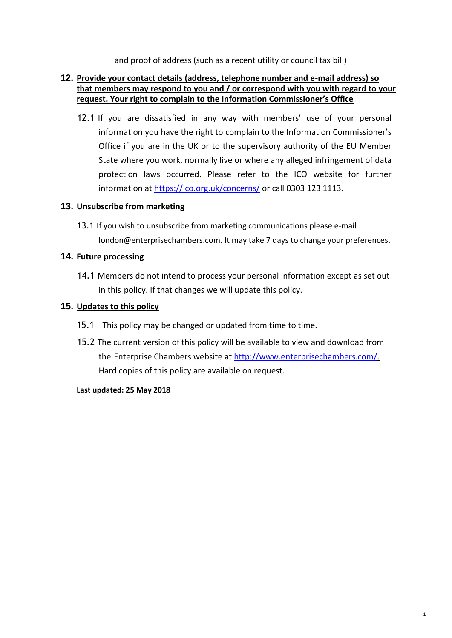and proof of address (such as a recent utility or council tax bill)

### **12. Provide your contact details (address, telephone number and e-mail address) so that members may respond to you and / or correspond with you with regard to your request. Your right to complain to the Information Commissioner's Office**

12.1 If you are dissatisfied in any way with members' use of your personal information you have the right to complain to the Information Commissioner's Office if you are in the UK or to the supervisory authority of the EU Member State where you work, normally live or where any alleged infringement of data protection laws occurred. Please refer to the ICO website for further information at https://ico.org.uk/concerns/ or call 0303 123 1113.

#### **13. Unsubscribe from marketing**

13.1 If you wish to unsubscribe from marketing communications please e-mail [london@enterprisechambers.com. I](mailto:london@enterprisechambers.com)t may take 7 days to change your preferences.

### **14. Future processing**

14.1 Members do not intend to process your personal information except as set out in this policy. If that changes we will update this policy.

### **15. Updates to this policy**

- 15.1 This policy may be changed or updated from time to time.
- 15.2 The current version of this policy will be available to view and download from the Enterprise Chambers website at [http://www.enterprisechambers.com/.](http://www.enterprisechambers.com/)  Hard copies of this policy are available on request.

1

#### **Last updated: 25 May 2018**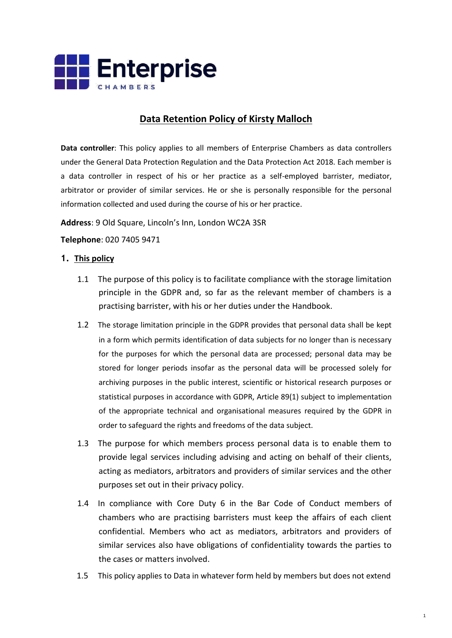

# **Data Retention Policy of Kirsty Malloch**

**Data controller**: This policy applies to all members of Enterprise Chambers as data controllers under the General Data Protection Regulation and the Data Protection Act 2018. Each member is a data controller in respect of his or her practice as a self-employed barrister, mediator, arbitrator or provider of similar services. He or she is personally responsible for the personal information collected and used during the course of his or her practice.

**Address**: 9 Old Square, Lincoln's Inn, London WC2A 3SR

#### **Telephone**: 020 7405 9471

#### **1. This policy**

- 1.1 The purpose of this policy is to facilitate compliance with the storage limitation principle in the GDPR and, so far as the relevant member of chambers is a practising barrister, with his or her duties under the Handbook.
- 1.2 The storage limitation principle in the GDPR provides that personal data shall be kept in a form which permits identification of data subjects for no longer than is necessary for the purposes for which the personal data are processed; personal data may be stored for longer periods insofar as the personal data will be processed solely for archiving purposes in the public interest, scientific or historical research purposes or statistical purposes in accordance with GDPR, Article 89(1) subject to implementation of the appropriate technical and organisational measures required by the GDPR in order to safeguard the rights and freedoms of the data subject.
- 1.3 The purpose for which members process personal data is to enable them to provide legal services including advising and acting on behalf of their clients, acting as mediators, arbitrators and providers of similar services and the other purposes set out in their privacy policy.
- 1.4 In compliance with Core Duty 6 in the Bar Code of Conduct members of chambers who are practising barristers must keep the affairs of each client confidential. Members who act as mediators, arbitrators and providers of similar services also have obligations of confidentiality towards the parties to the cases or matters involved.
- 1.5 This policy applies to Data in whatever form held by members but does not extend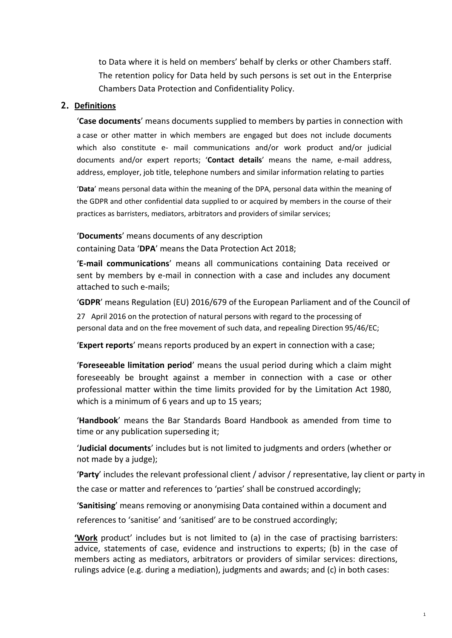to Data where it is held on members' behalf by clerks or other Chambers staff. The retention policy for Data held by such persons is set out in the Enterprise Chambers Data Protection and Confidentiality Policy.

#### **2. Definitions**

'**Case documents**' means documents supplied to members by parties in connection with a case or other matter in which members are engaged but does not include documents which also constitute e- mail communications and/or work product and/or judicial documents and/or expert reports; '**Contact details**' means the name, e-mail address, address, employer, job title, telephone numbers and similar information relating to parties

'**Data**' means personal data within the meaning of the DPA, personal data within the meaning of the GDPR and other confidential data supplied to or acquired by members in the course of their practices as barristers, mediators, arbitrators and providers of similar services;

'**Documents**' means documents of any description

containing Data '**DPA**' means the Data Protection Act 2018;

'**E-mail communications**' means all communications containing Data received or sent by members by e-mail in connection with a case and includes any document attached to such e-mails;

'**GDPR**' means Regulation (EU) 2016/679 of the European Parliament and of the Council of

27 April 2016 on the protection of natural persons with regard to the processing of personal data and on the free movement of such data, and repealing Direction 95/46/EC;

'**Expert reports**' means reports produced by an expert in connection with a case;

'**Foreseeable limitation period**' means the usual period during which a claim might foreseeably be brought against a member in connection with a case or other professional matter within the time limits provided for by the Limitation Act 1980, which is a minimum of 6 years and up to 15 years;

'**Handbook**' means the Bar Standards Board Handbook as amended from time to time or any publication superseding it;

'**Judicial documents**' includes but is not limited to judgments and orders (whether or not made by a judge);

'**Party**' includes the relevant professional client / advisor / representative, lay client or party in

the case or matter and references to 'parties' shall be construed accordingly;

'**Sanitising**' means removing or anonymising Data contained within a document and

references to 'sanitise' and 'sanitised' are to be construed accordingly;

**'Work** product' includes but is not limited to (a) in the case of practising barristers: advice, statements of case, evidence and instructions to experts; (b) in the case of members acting as mediators, arbitrators or providers of similar services: directions, rulings advice (e.g. during a mediation), judgments and awards; and (c) in both cases: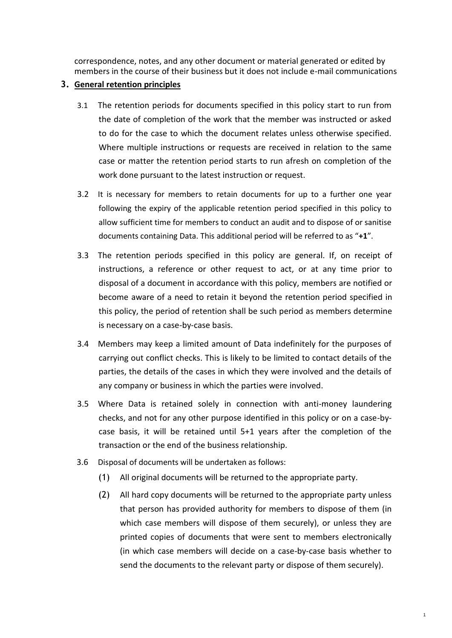correspondence, notes, and any other document or material generated or edited by members in the course of their business but it does not include e-mail communications

#### **3. General retention principles**

- 3.1 The retention periods for documents specified in this policy start to run from the date of completion of the work that the member was instructed or asked to do for the case to which the document relates unless otherwise specified. Where multiple instructions or requests are received in relation to the same case or matter the retention period starts to run afresh on completion of the work done pursuant to the latest instruction or request.
- 3.2 It is necessary for members to retain documents for up to a further one year following the expiry of the applicable retention period specified in this policy to allow sufficient time for members to conduct an audit and to dispose of or sanitise documents containing Data. This additional period will be referred to as "**+1**".
- 3.3 The retention periods specified in this policy are general. If, on receipt of instructions, a reference or other request to act, or at any time prior to disposal of a document in accordance with this policy, members are notified or become aware of a need to retain it beyond the retention period specified in this policy, the period of retention shall be such period as members determine is necessary on a case-by-case basis.
- 3.4 Members may keep a limited amount of Data indefinitely for the purposes of carrying out conflict checks. This is likely to be limited to contact details of the parties, the details of the cases in which they were involved and the details of any company or business in which the parties were involved.
- 3.5 Where Data is retained solely in connection with anti-money laundering checks, and not for any other purpose identified in this policy or on a case-bycase basis, it will be retained until 5+1 years after the completion of the transaction or the end of the business relationship.
- 3.6 Disposal of documents will be undertaken as follows:
	- (1) All original documents will be returned to the appropriate party.
	- (2) All hard copy documents will be returned to the appropriate party unless that person has provided authority for members to dispose of them (in which case members will dispose of them securely), or unless they are printed copies of documents that were sent to members electronically (in which case members will decide on a case-by-case basis whether to send the documents to the relevant party or dispose of them securely).

1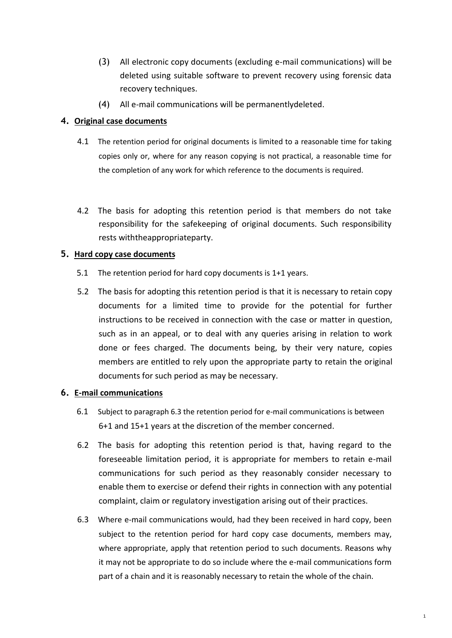- (3) All electronic copy documents (excluding e-mail communications) will be deleted using suitable software to prevent recovery using forensic data recovery techniques.
- (4) All e-mail communications will be permanentlydeleted.

#### **4. Original case documents**

- 4.1 The retention period for original documents is limited to a reasonable time for taking copies only or, where for any reason copying is not practical, a reasonable time for the completion of any work for which reference to the documents is required.
- 4.2 The basis for adopting this retention period is that members do not take responsibility for the safekeeping of original documents. Such responsibility rests withtheappropriateparty.

### **5. Hard copy case documents**

- 5.1 The retention period for hard copy documents is 1+1 years.
- 5.2 The basis for adopting this retention period is that it is necessary to retain copy documents for a limited time to provide for the potential for further instructions to be received in connection with the case or matter in question, such as in an appeal, or to deal with any queries arising in relation to work done or fees charged. The documents being, by their very nature, copies members are entitled to rely upon the appropriate party to retain the original documents for such period as may be necessary.

#### **6. E-mail communications**

- 6.1 Subject to paragraph 6.3 the retention period for e-mail communications is between 6+1 and 15+1 years at the discretion of the member concerned.
- 6.2 The basis for adopting this retention period is that, having regard to the foreseeable limitation period, it is appropriate for members to retain e-mail communications for such period as they reasonably consider necessary to enable them to exercise or defend their rights in connection with any potential complaint, claim or regulatory investigation arising out of their practices.
- 6.3 Where e-mail communications would, had they been received in hard copy, been subject to the retention period for hard copy case documents, members may, where appropriate, apply that retention period to such documents. Reasons why it may not be appropriate to do so include where the e-mail communications form part of a chain and it is reasonably necessary to retain the whole of the chain.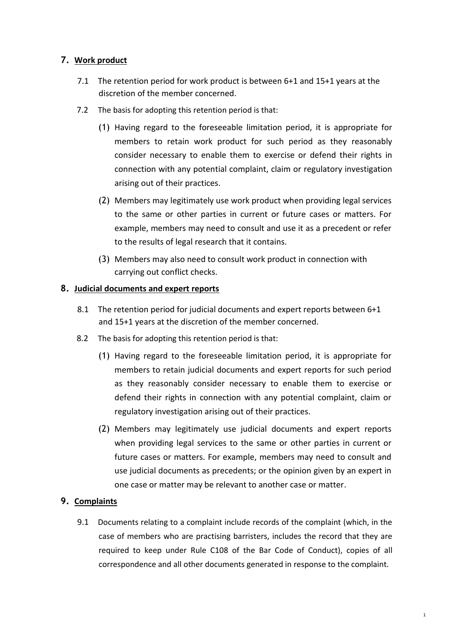## **7. Work product**

- 7.1 The retention period for work product is between 6+1 and 15+1 years at the discretion of the member concerned.
- 7.2 The basis for adopting this retention period is that:
	- (1) Having regard to the foreseeable limitation period, it is appropriate for members to retain work product for such period as they reasonably consider necessary to enable them to exercise or defend their rights in connection with any potential complaint, claim or regulatory investigation arising out of their practices.
	- (2) Members may legitimately use work product when providing legal services to the same or other parties in current or future cases or matters. For example, members may need to consult and use it as a precedent or refer to the results of legal research that it contains.
	- (3) Members may also need to consult work product in connection with carrying out conflict checks.

## **8. Judicial documents and expert reports**

- 8.1 The retention period for judicial documents and expert reports between 6+1 and 15+1 years at the discretion of the member concerned.
- 8.2 The basis for adopting this retention period is that:
	- (1) Having regard to the foreseeable limitation period, it is appropriate for members to retain judicial documents and expert reports for such period as they reasonably consider necessary to enable them to exercise or defend their rights in connection with any potential complaint, claim or regulatory investigation arising out of their practices.
	- (2) Members may legitimately use judicial documents and expert reports when providing legal services to the same or other parties in current or future cases or matters. For example, members may need to consult and use judicial documents as precedents; or the opinion given by an expert in one case or matter may be relevant to another case or matter.

## **9. Complaints**

9.1 Documents relating to a complaint include records of the complaint (which, in the case of members who are practising barristers, includes the record that they are required to keep under Rule C108 of the Bar Code of Conduct), copies of all correspondence and all other documents generated in response to the complaint.